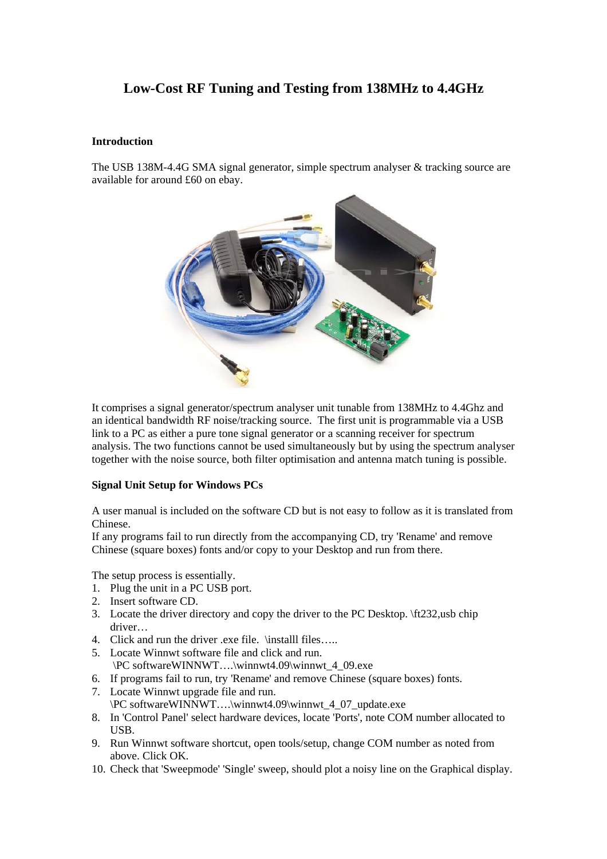# **Low-Cost RF Tuning and Testing from 138MHz to 4.4GHz**

## **Introduction**

The USB 138M-4.4G SMA signal generator, simple spectrum analyser & tracking source are available for around £60 on ebay.



It comprises a signal generator/spectrum analyser unit tunable from 138MHz to 4.4Ghz and an identical bandwidth RF noise/tracking source. The first unit is programmable via a USB link to a PC as either a pure tone signal generator or a scanning receiver for spectrum analysis. The two functions cannot be used simultaneously but by using the spectrum analyser together with the noise source, both filter optimisation and antenna match tuning is possible.

## **Signal Unit Setup for Windows PCs**

A user manual is included on the software CD but is not easy to follow as it is translated from Chinese.

If any programs fail to run directly from the accompanying CD, try 'Rename' and remove Chinese (square boxes) fonts and/or copy to your Desktop and run from there.

The setup process is essentially.

- 1. Plug the unit in a PC USB port.
- 2. Insert software CD.
- 3. Locate the driver directory and copy the driver to the PC Desktop. \ft232,usb chip driver…
- 4. Click and run the driver .exe file. \installl files…..
- 5. Locate Winnwt software file and click and run. \PC softwareWINNWT….\winnwt4.09\winnwt\_4\_09.exe
- 6. If programs fail to run, try 'Rename' and remove Chinese (square boxes) fonts.
- 7. Locate Winnwt upgrade file and run.
- \PC softwareWINNWT….\winnwt4.09\winnwt\_4\_07\_update.exe
- 8. In 'Control Panel' select hardware devices, locate 'Ports', note COM number allocated to USB.
- 9. Run Winnwt software shortcut, open tools/setup, change COM number as noted from above. Click OK.
- 10. Check that 'Sweepmode' 'Single' sweep, should plot a noisy line on the Graphical display.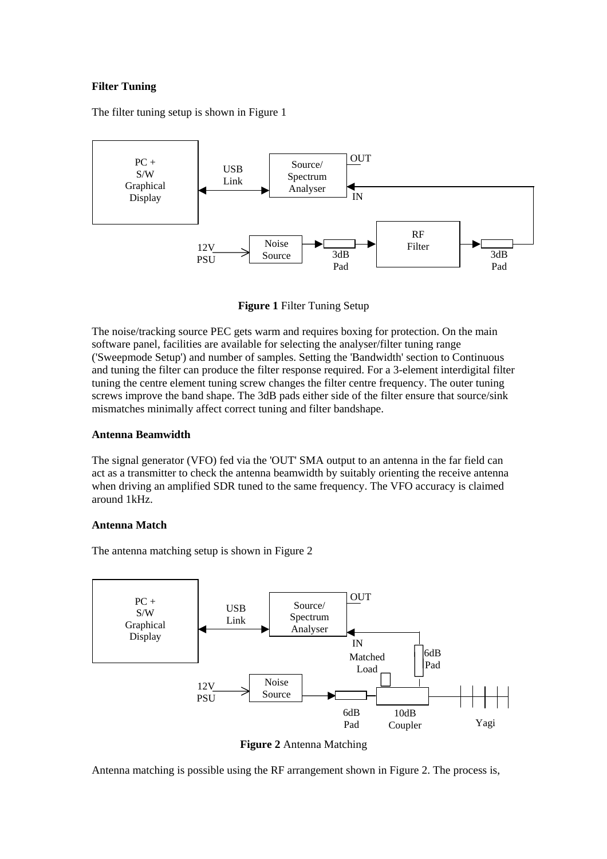## **Filter Tuning**

The filter tuning setup is shown in Figure 1



**Figure 1** Filter Tuning Setup

The noise/tracking source PEC gets warm and requires boxing for protection. On the main software panel, facilities are available for selecting the analyser/filter tuning range ('Sweepmode Setup') and number of samples. Setting the 'Bandwidth' section to Continuous and tuning the filter can produce the filter response required. For a 3-element interdigital filter tuning the centre element tuning screw changes the filter centre frequency. The outer tuning screws improve the band shape. The 3dB pads either side of the filter ensure that source/sink mismatches minimally affect correct tuning and filter bandshape.

#### **Antenna Beamwidth**

The signal generator (VFO) fed via the 'OUT' SMA output to an antenna in the far field can act as a transmitter to check the antenna beamwidth by suitably orienting the receive antenna when driving an amplified SDR tuned to the same frequency. The VFO accuracy is claimed around 1kHz.

#### **Antenna Match**

The antenna matching setup is shown in Figure 2



**Figure 2** Antenna Matching

Antenna matching is possible using the RF arrangement shown in Figure 2. The process is,